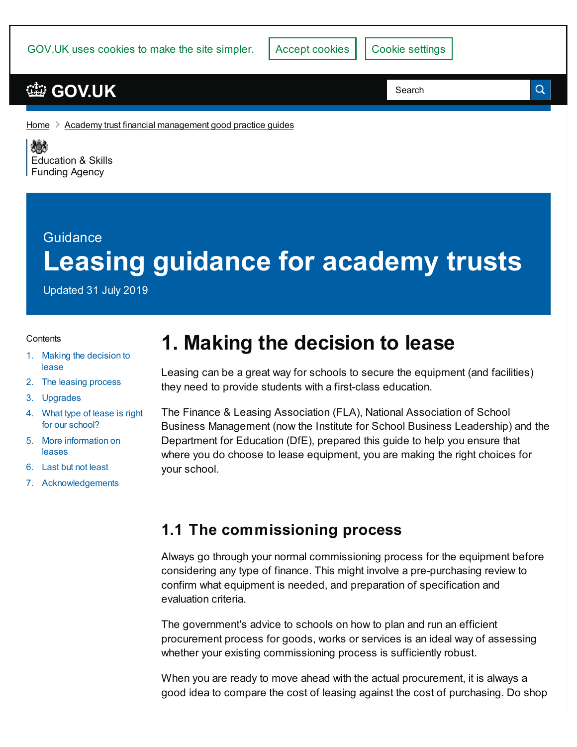GOV.UK uses cookies to make the site simpler.

## **[GOV.UK](https://www.gov.uk)**

Search

 $\alpha$ 

[Home](https://www.gov.uk/)  $\geq$  Academy trust financial [management](https://www.gov.uk/government/publications/academy-trust-financial-management-good-practice-guides) good practice guides

残り [Education](https://www.gov.uk/government/organisations/education-and-skills-funding-agency) & Skills **Funding Agency** 

# Guidance **Leasing guidance for academy trusts**

Updated 31 July 2019

#### **Contents**

- 1. Making the [decision](#page-7-0) to lease
- 2. The leasing [process](#page-7-0)
- 3. [Upgrades](#page-7-0)
- 4. What type of lease is right for our [school?](#page-7-0)
- 5. More [information](#page-7-0) on leases
- 6. Last but not [least](#page-7-0)
- 7. [Acknowledgements](#page-7-0)

# **1. Making the decision to lease**

Leasing can be a great way for schools to secure the equipment (and facilities) they need to provide students with a first-class education.

The Finance & Leasing Association (FLA), National Association of School Business Management (now the Institute for School Business Leadership) and the Department for Education (DfE), prepared this guide to help you ensure that where you do choose to lease equipment, you are making the right choices for your school.

#### **1.1 The commissioning process**

Always go through your normal commissioning process for the equipment before considering any type of finance. This might involve a pre-purchasing review to confirm what equipment is needed, and preparation of specification and evaluation criteria.

The government's advice to schools on how to plan and run an efficient procurement process for goods, works or services is an ideal way of assessing whether your existing commissioning process is sufficiently robust.

When you are ready to move ahead with the actual procurement, it is always a good idea to compare the cost of leasing against the cost of purchasing. Do shop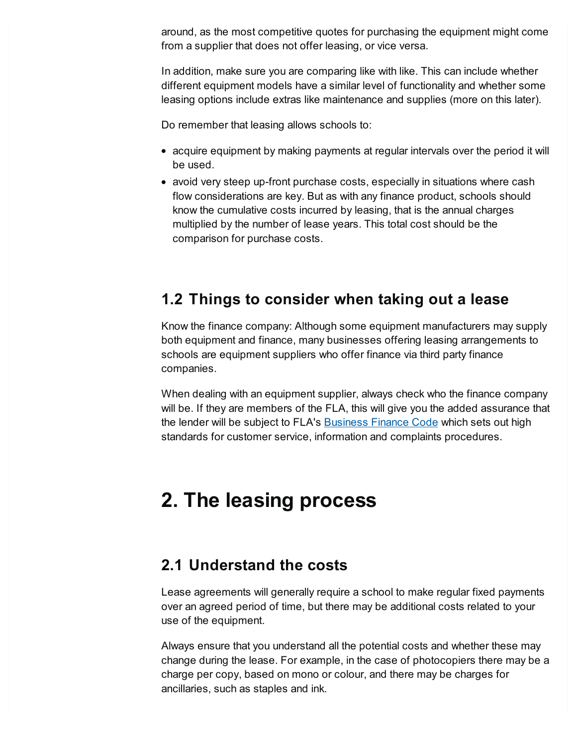around, as the most competitive quotes for purchasing the equipment might come from a supplier that does not offer leasing, or vice versa.

In addition, make sure you are comparing like with like. This can include whether different equipment models have a similar level of functionality and whether some leasing options include extras like maintenance and supplies (more on this later).

Do remember that leasing allows schools to:

- acquire equipment by making payments at regular intervals over the period it will be used.
- avoid very steep up-front purchase costs, especially in situations where cash flow considerations are key. But as with any finance product, schools should know the cumulative costs incurred by leasing, that is the annual charges multiplied by the number of lease years. This total cost should be the comparison for purchase costs.

## **1.2 Things to consider when taking out a lease**

Know the finance company: Although some equipment manufacturers may supply both equipment and finance, many businesses offering leasing arrangements to schools are equipment suppliers who offer finance via third party finance companies.

When dealing with an equipment supplier, always check who the finance company will be. If they are members of the FLA, this will give you the added assurance that the lender will be subject to FLA's [Business](https://www.fla.org.uk/business-information/business-finance-code/) Finance Code which sets out high standards for customer service, information and complaints procedures.

## **2. The leasing process**

#### **2.1 Understand the costs**

Lease agreements will generally require a school to make regular fixed payments over an agreed period of time, but there may be additional costs related to your use of the equipment.

Always ensure that you understand all the potential costs and whether these may change during the lease. For example, in the case of photocopiers there may be a charge per copy, based on mono or colour, and there may be charges for ancillaries, such as staples and ink.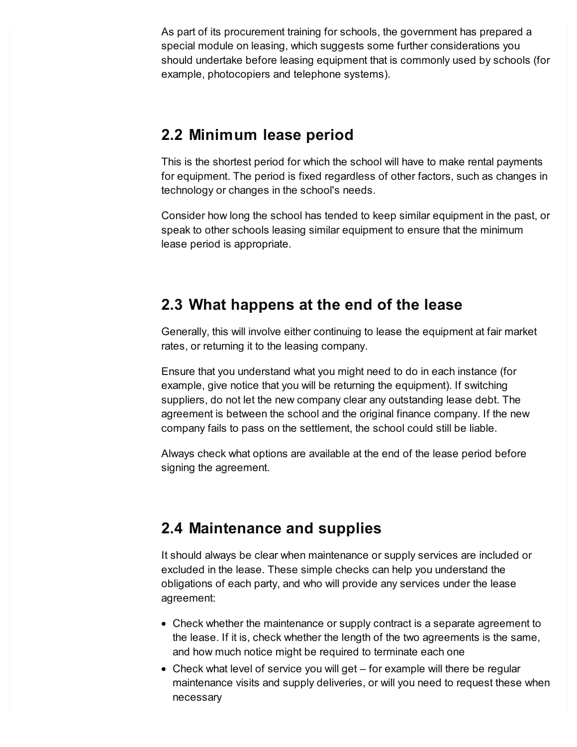As part of its procurement training for schools, the government has prepared a special module on leasing, which suggests some further considerations you should undertake before leasing equipment that is commonly used by schools (for example, photocopiers and telephone systems).

#### **2.2 Minimum lease period**

This is the shortest period for which the school will have to make rental payments for equipment. The period is fixed regardless of other factors, such as changes in technology or changes in the school's needs.

Consider how long the school has tended to keep similar equipment in the past, or speak to other schools leasing similar equipment to ensure that the minimum lease period is appropriate.

## **2.3 What happens at the end of the lease**

Generally, this will involve either continuing to lease the equipment at fair market rates, or returning it to the leasing company.

Ensure that you understand what you might need to do in each instance (for example, give notice that you will be returning the equipment). If switching suppliers, do not let the new company clear any outstanding lease debt. The agreement is between the school and the original finance company. If the new company fails to pass on the settlement, the school could still be liable.

Always check what options are available at the end of the lease period before signing the agreement.

## **2.4 Maintenance and supplies**

It should always be clear when maintenance or supply services are included or excluded in the lease. These simple checks can help you understand the obligations of each party, and who will provide any services under the lease agreement:

- Check whether the maintenance or supply contract is a separate agreement to the lease. If it is, check whether the length of the two agreements is the same, and how much notice might be required to terminate each one
- Check what level of service you will get for example will there be regular maintenance visits and supply deliveries, or will you need to request these when necessary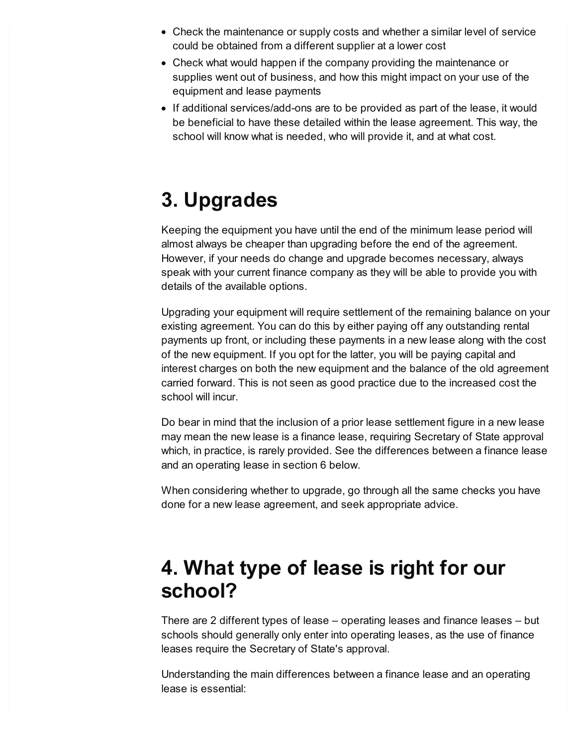- Check the maintenance or supply costs and whether a similar level of service could be obtained from a different supplier at a lower cost
- Check what would happen if the company providing the maintenance or supplies went out of business, and how this might impact on your use of the equipment and lease payments
- If additional services/add-ons are to be provided as part of the lease, it would be beneficial to have these detailed within the lease agreement. This way, the school will know what is needed, who will provide it, and at what cost.

# **3. Upgrades**

Keeping the equipment you have until the end of the minimum lease period will almost always be cheaper than upgrading before the end of the agreement. However, if your needs do change and upgrade becomes necessary, always speak with your current finance company as they will be able to provide you with details of the available options.

Upgrading your equipment will require settlement of the remaining balance on your existing agreement. You can do this by either paying off any outstanding rental payments up front, or including these payments in a new lease along with the cost of the new equipment. If you opt for the latter, you will be paying capital and interest charges on both the new equipment and the balance of the old agreement carried forward. This is not seen as good practice due to the increased cost the school will incur.

Do bear in mind that the inclusion of a prior lease settlement figure in a new lease may mean the new lease is a finance lease, requiring Secretary of State approval which, in practice, is rarely provided. See the differences between a finance lease and an operating lease in section 6 below.

When considering whether to upgrade, go through all the same checks you have done for a new lease agreement, and seek appropriate advice.

## **4. What type of lease is right for our school?**

There are 2 different types of lease – operating leases and finance leases – but schools should generally only enter into operating leases, as the use of finance leases require the Secretary of State's approval.

Understanding the main differences between a finance lease and an operating lease is essential: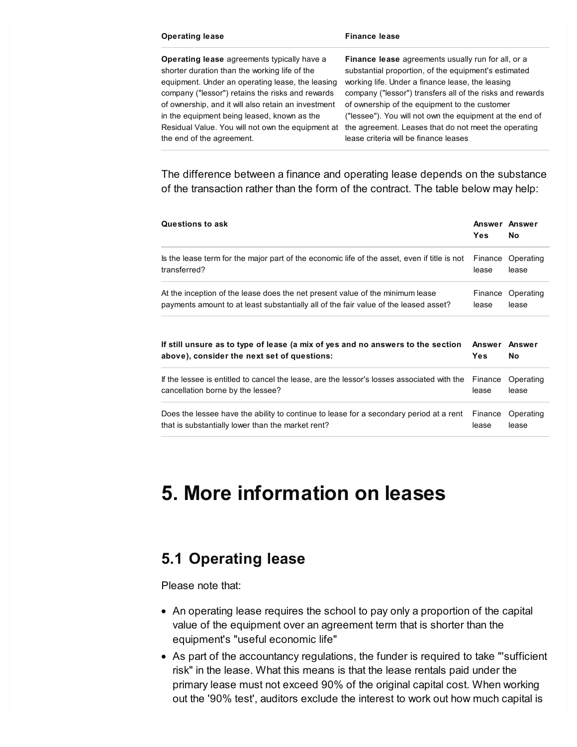#### **Operating lease Finance lease**

**Operating lease** agreements typically have a shorter duration than the working life of the equipment. Under an operating lease, the leasing company ("lessor") retains the risks and rewards of ownership, and it will also retain an investment in the equipment being leased, known as the the end of the agreement.

Residual Value. You will not own the equipment at the agreement. Leases that do not meet the operating **Finance lease** agreements usually run for all, or a substantial proportion, of the equipment's estimated working life. Under a finance lease, the leasing company ("lessor") transfers all of the risks and rewards of ownership of the equipment to the customer ("lessee"). You will not own the equipment at the end of lease criteria will be finance leases

The difference between a finance and operating lease depends on the substance of the transaction rather than the form of the contract. The table below may help:

| <b>Questions to ask</b>                                                                                                        | <b>Yes</b>                  | Answer Answer<br><b>No</b> |
|--------------------------------------------------------------------------------------------------------------------------------|-----------------------------|----------------------------|
| Is the lease term for the major part of the economic life of the asset, even if title is not                                   | Finance                     | Operating                  |
| transferred?                                                                                                                   | lease                       | lease                      |
| At the inception of the lease does the net present value of the minimum lease                                                  | Finance                     | Operating                  |
| payments amount to at least substantially all of the fair value of the leased asset?                                           | lease                       | lease                      |
|                                                                                                                                |                             |                            |
| If still unsure as to type of lease (a mix of yes and no answers to the section<br>above), consider the next set of questions: | Answer Answer<br><b>Yes</b> | Nο                         |
| If the lessee is entitled to cancel the lease, are the lessor's losses associated with the                                     | Finance                     | Operating                  |
| cancellation borne by the lessee?                                                                                              | lease                       | lease                      |

## **5. More information on leases**

## **5.1 Operating lease**

Please note that:

- An operating lease requires the school to pay only a proportion of the capital value of the equipment over an agreement term that is shorter than the equipment's "useful economic life"
- As part of the accountancy regulations, the funder is required to take "'sufficient risk" in the lease. What this means is that the lease rentals paid under the primary lease must not exceed 90% of the original capital cost. When working out the '90% test', auditors exclude the interest to work out how much capital is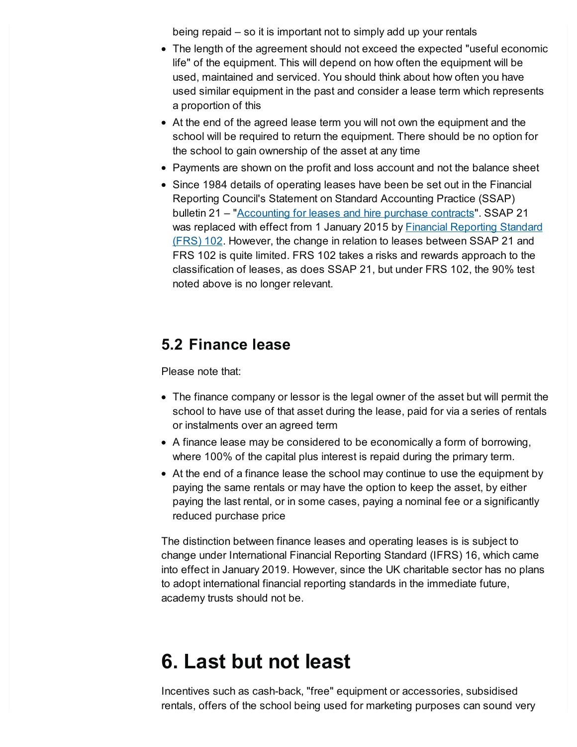being repaid – so it is important not to simply add up your rentals

- The length of the agreement should not exceed the expected "useful economic life" of the equipment. This will depend on how often the equipment will be used, maintained and serviced. You should think about how often you have used similar equipment in the past and consider a lease term which represents a proportion of this
- At the end of the agreed lease term you will not own the equipment and the school will be required to return the equipment. There should be no option for the school to gain ownership of the asset at any time
- Payments are shown on the profit and loss account and not the balance sheet
- Since 1984 details of operating leases have been be set out in the Financial Reporting Council's Statement on Standard Accounting Practice (SSAP) bulletin 21 – ["Accounting](https://www.frc.org.uk/accountants/accounting-and-reporting-policy/uk-accounting-standards/standards-in-issue/ssap-21-accounting-for-leases-and-hire-purchase-co) for leases and hire purchase contracts". SSAP 21 was replaced with effect from 1 January 2015 by Financial [Reporting](https://www.frc.org.uk/getattachment/e1d6b167-6cdb-4550-bde3-f94484226fbd/FRS-102-WEB-Ready-2015.pdf) Standard (FRS) 102. However, the change in relation to leases between SSAP 21 and FRS 102 is quite limited. FRS 102 takes a risks and rewards approach to the classification of leases, as does SSAP 21, but under FRS 102, the 90% test noted above is no longer relevant.

## **5.2 Finance lease**

Please note that:

- The finance company or lessor is the legal owner of the asset but will permit the school to have use of that asset during the lease, paid for via a series of rentals or instalments over an agreed term
- A finance lease may be considered to be economically a form of borrowing, where 100% of the capital plus interest is repaid during the primary term.
- At the end of a finance lease the school may continue to use the equipment by paying the same rentals or may have the option to keep the asset, by either paying the last rental, or in some cases, paying a nominal fee or a significantly reduced purchase price

The distinction between finance leases and operating leases is is subject to change under International Financial Reporting Standard (IFRS) 16, which came into effect in January 2019. However, since the UK charitable sector has no plans to adopt international financial reporting standards in the immediate future, academy trusts should not be.

## **6. Last but not least**

Incentives such as cash-back, "free" equipment or accessories, subsidised rentals, offers of the school being used for marketing purposes can sound very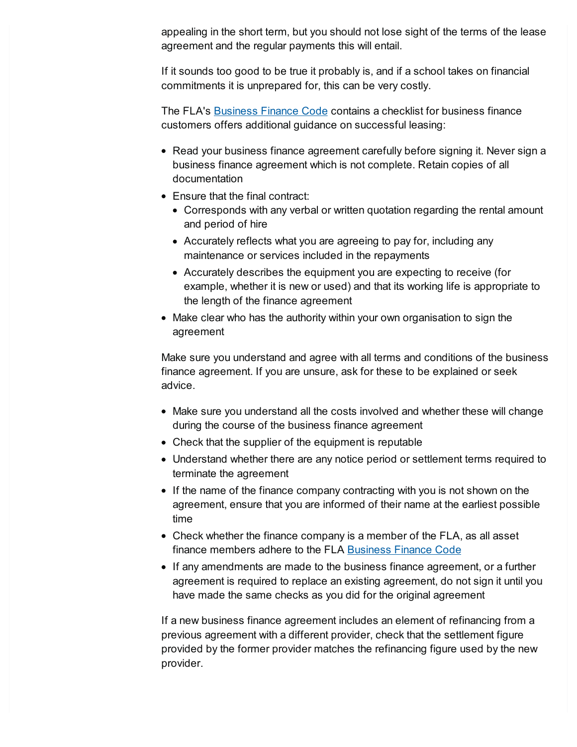appealing in the short term, but you should not lose sight of the terms of the lease agreement and the regular payments this will entail.

If it sounds too good to be true it probably is, and if a school takes on financial commitments it is unprepared for, this can be very costly.

The FLA's [Business](https://www.fla.org.uk/business-information/documents/fla-business-finance-code/) Finance Code contains a checklist for business finance customers offers additional guidance on successful leasing:

- Read your business finance agreement carefully before signing it. Never sign a business finance agreement which is not complete. Retain copies of all documentation
- Ensure that the final contract:
	- Corresponds with any verbal or written quotation regarding the rental amount and period of hire
	- Accurately reflects what you are agreeing to pay for, including any maintenance or services included in the repayments
	- Accurately describes the equipment you are expecting to receive (for example, whether it is new or used) and that its working life is appropriate to the length of the finance agreement
- Make clear who has the authority within your own organisation to sign the agreement

Make sure you understand and agree with all terms and conditions of the business finance agreement. If you are unsure, ask for these to be explained or seek advice.

- Make sure you understand all the costs involved and whether these will change during the course of the business finance agreement
- Check that the supplier of the equipment is reputable
- Understand whether there are any notice period or settlement terms required to terminate the agreement
- If the name of the finance company contracting with you is not shown on the agreement, ensure that you are informed of their name at the earliest possible time
- Check whether the finance company is a member of the FLA, as all asset finance members adhere to the FLA [Business](https://www.fla.org.uk/business-information/business-finance-code/) Finance Code
- If any amendments are made to the business finance agreement, or a further agreement is required to replace an existing agreement, do not sign it until you have made the same checks as you did for the original agreement

If a new business finance agreement includes an element of refinancing from a previous agreement with a different provider, check that the settlement figure provided by the former provider matches the refinancing figure used by the new provider.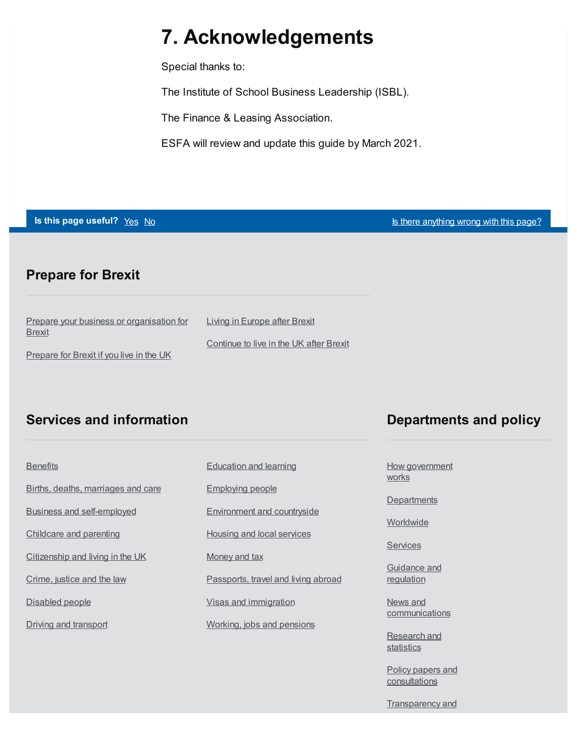## <span id="page-7-0"></span>**7. Acknowledgements**

Special thanks to:

The Institute of School Business Leadership (ISBL).

The Finance & Leasing Association.

ESFA will review and update this guide by March 2021.

**Is this page useful?** [Yes](https://www.gov.uk/contact/govuk) [No](https://www.gov.uk/contact/govuk) Is the Magnetic Section 1 and 1 and 1 and 1 and 1 and 1 and 1 and 1 and 1 and 1 and 1 and 1 and 1 and 1 and 1 and 1 and 1 and 1 and 1 and 1 and 1 and 1 and 1 and 1 and 1 and 1 and 1 and 1 and

#### **Prepare for Brexit**

| Prepare your business or organisation for | Living in Europe after Brexit           |
|-------------------------------------------|-----------------------------------------|
| <b>Brexit</b>                             |                                         |
|                                           | Continue to live in the UK after Brexit |
| Prepare for Brexit if you live in the UK  |                                         |

#### **Services and information**

| <b>Benefits</b>                    |
|------------------------------------|
| Births, deaths, marriages and care |
| <b>Business and self-employed</b>  |
| <b>Childcare and parenting</b>     |
| Citizenship and living in the UK   |
| Crime, justice and the law         |
| Disabled people                    |
| Driving and transport              |

[Education](https://www.gov.uk/browse/education) and learning [Employing](https://www.gov.uk/browse/employing-people) people [Environment](https://www.gov.uk/browse/environment-countryside) and countryside Housing and local [services](https://www.gov.uk/browse/housing-local-services) [Money](https://www.gov.uk/browse/tax) and tax [Passports,](https://www.gov.uk/browse/abroad) travel and living abroad Visas and [immigration](https://www.gov.uk/browse/visas-immigration) [Working,](https://www.gov.uk/browse/working) jobs and pensions

#### **Departments and policy**

How [government](https://www.gov.uk/government/how-government-works) **works** 

**[Departments](https://www.gov.uk/government/organisations)** 

[Worldwide](https://www.gov.uk/world)

**[Services](https://www.gov.uk/search/services)** 

[Guidance](https://www.gov.uk/search/guidance-and-regulation) and regulation

News and **[communications](https://www.gov.uk/search/news-and-communications)** 

[Research](https://www.gov.uk/search/research-and-statistics) and statistics

Policy papers and [consultations](https://www.gov.uk/search/policy-papers-and-consultations)

**[Transparency](https://www.gov.uk/search/transparency-and-freedom-of-information-releases) and**